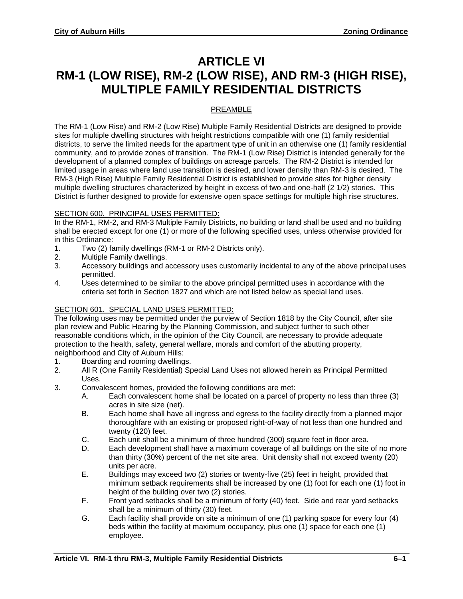# **ARTICLE VI RM-1 (LOW RISE), RM-2 (LOW RISE), AND RM-3 (HIGH RISE), MULTIPLE FAMILY RESIDENTIAL DISTRICTS**

### PREAMBLE

The RM-1 (Low Rise) and RM-2 (Low Rise) Multiple Family Residential Districts are designed to provide sites for multiple dwelling structures with height restrictions compatible with one (1) family residential districts, to serve the limited needs for the apartment type of unit in an otherwise one (1) family residential community, and to provide zones of transition. The RM-1 (Low Rise) District is intended generally for the development of a planned complex of buildings on acreage parcels. The RM-2 District is intended for limited usage in areas where land use transition is desired, and lower density than RM-3 is desired. The RM-3 (High Rise) Multiple Family Residential District is established to provide sites for higher density multiple dwelling structures characterized by height in excess of two and one-half (2 1/2) stories. This District is further designed to provide for extensive open space settings for multiple high rise structures.

#### SECTION 600. PRINCIPAL USES PERMITTED:

In the RM-1, RM-2, and RM-3 Multiple Family Districts, no building or land shall be used and no building shall be erected except for one (1) or more of the following specified uses, unless otherwise provided for in this Ordinance:

- 1. Two (2) family dwellings (RM-1 or RM-2 Districts only).
- 2. Multiple Family dwellings.
- 3. Accessory buildings and accessory uses customarily incidental to any of the above principal uses permitted.
- 4. Uses determined to be similar to the above principal permitted uses in accordance with the criteria set forth in Section 1827 and which are not listed below as special land uses.

## SECTION 601. SPECIAL LAND USES PERMITTED:

The following uses may be permitted under the purview of Section 1818 by the City Council, after site plan review and Public Hearing by the Planning Commission, and subject further to such other reasonable conditions which, in the opinion of the City Council, are necessary to provide adequate protection to the health, safety, general welfare, morals and comfort of the abutting property, neighborhood and City of Auburn Hills:

- 1. Boarding and rooming dwellings.<br>2. All R (One Family Residential) So
- All R (One Family Residential) Special Land Uses not allowed herein as Principal Permitted Uses.
- 3. Convalescent homes, provided the following conditions are met:
	- A. Each convalescent home shall be located on a parcel of property no less than three (3) acres in site size (net).
	- B. Each home shall have all ingress and egress to the facility directly from a planned major thoroughfare with an existing or proposed right-of-way of not less than one hundred and twenty (120) feet.
	- C. Each unit shall be a minimum of three hundred (300) square feet in floor area.
	- D. Each development shall have a maximum coverage of all buildings on the site of no more than thirty (30%) percent of the net site area. Unit density shall not exceed twenty (20) units per acre.
	- E. Buildings may exceed two (2) stories or twenty-five (25) feet in height, provided that minimum setback requirements shall be increased by one (1) foot for each one (1) foot in height of the building over two (2) stories.
	- F. Front yard setbacks shall be a minimum of forty (40) feet. Side and rear yard setbacks shall be a minimum of thirty (30) feet.
	- G. Each facility shall provide on site a minimum of one (1) parking space for every four (4) beds within the facility at maximum occupancy, plus one (1) space for each one (1) employee.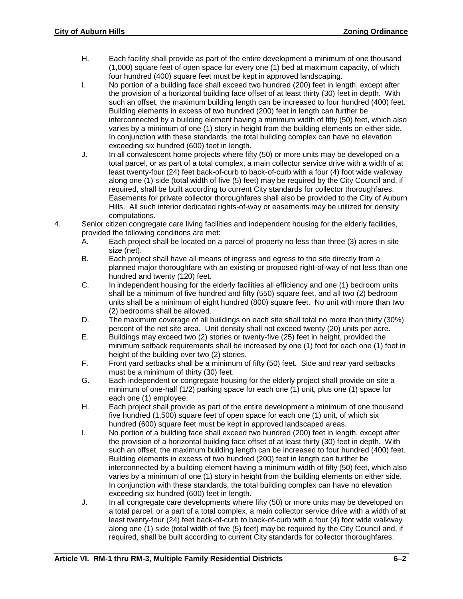- H. Each facility shall provide as part of the entire development a minimum of one thousand (1,000) square feet of open space for every one (1) bed at maximum capacity, of which four hundred (400) square feet must be kept in approved landscaping.
- I. No portion of a building face shall exceed two hundred (200) feet in length, except after the provision of a horizontal building face offset of at least thirty (30) feet in depth. With such an offset, the maximum building length can be increased to four hundred (400) feet. Building elements in excess of two hundred (200) feet in length can further be interconnected by a building element having a minimum width of fifty (50) feet, which also varies by a minimum of one (1) story in height from the building elements on either side. In conjunction with these standards, the total building complex can have no elevation exceeding six hundred (600) feet in length.
- J. In all convalescent home projects where fifty (50) or more units may be developed on a total parcel, or as part of a total complex, a main collector service drive with a width of at least twenty-four (24) feet back-of-curb to back-of-curb with a four (4) foot wide walkway along one (1) side (total width of five (5) feet) may be required by the City Council and, if required, shall be built according to current City standards for collector thoroughfares. Easements for private collector thoroughfares shall also be provided to the City of Auburn Hills. All such interior dedicated rights-of-way or easements may be utilized for density computations.
- 4. Senior citizen congregate care living facilities and independent housing for the elderly facilities, provided the following conditions are met:
	- A. Each project shall be located on a parcel of property no less than three (3) acres in site size (net).
	- B. Each project shall have all means of ingress and egress to the site directly from a planned major thoroughfare with an existing or proposed right-of-way of not less than one hundred and twenty (120) feet.
	- C. In independent housing for the elderly facilities all efficiency and one (1) bedroom units shall be a minimum of five hundred and fifty (550) square feet, and all two (2) bedroom units shall be a minimum of eight hundred (800) square feet. No unit with more than two (2) bedrooms shall be allowed.
	- D. The maximum coverage of all buildings on each site shall total no more than thirty (30%) percent of the net site area. Unit density shall not exceed twenty (20) units per acre.
	- E. Buildings may exceed two (2) stories or twenty-five (25) feet in height, provided the minimum setback requirements shall be increased by one (1) foot for each one (1) foot in height of the building over two (2) stories.
	- F. Front yard setbacks shall be a minimum of fifty (50) feet. Side and rear yard setbacks must be a minimum of thirty (30) feet.
	- G. Each independent or congregate housing for the elderly project shall provide on site a minimum of one-half (1/2) parking space for each one (1) unit, plus one (1) space for each one (1) employee.
	- H. Each project shall provide as part of the entire development a minimum of one thousand five hundred (1,500) square feet of open space for each one (1) unit, of which six hundred (600) square feet must be kept in approved landscaped areas.
	- I. No portion of a building face shall exceed two hundred (200) feet in length, except after the provision of a horizontal building face offset of at least thirty (30) feet in depth. With such an offset, the maximum building length can be increased to four hundred (400) feet. Building elements in excess of two hundred (200) feet in length can further be interconnected by a building element having a minimum width of fifty (50) feet, which also varies by a minimum of one (1) story in height from the building elements on either side. In conjunction with these standards, the total building complex can have no elevation exceeding six hundred (600) feet in length.
	- J. In all congregate care developments where fifty (50) or more units may be developed on a total parcel, or a part of a total complex, a main collector service drive with a width of at least twenty-four (24) feet back-of-curb to back-of-curb with a four (4) foot wide walkway along one (1) side (total width of five (5) feet) may be required by the City Council and, if required, shall be built according to current City standards for collector thoroughfares.